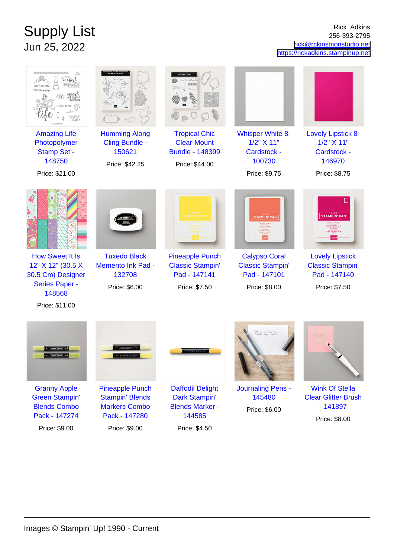## Supply List Jun 25, 2022

Rick Adkins 256-393-2795 [rick@rckinsmonstudio.net](mailto:rick@rckinsmonstudio.net) <https://rickadkins.stampinup.net>

| 00000000000000000000000                                                                                               |                                                                                           | HITHIT<br>Bookyon                                                                                         |                                                                                                         |                                                                                                                                                 |
|-----------------------------------------------------------------------------------------------------------------------|-------------------------------------------------------------------------------------------|-----------------------------------------------------------------------------------------------------------|---------------------------------------------------------------------------------------------------------|-------------------------------------------------------------------------------------------------------------------------------------------------|
| <b>Amazing Life</b><br>Photopolymer<br><b>Stamp Set -</b><br>148750                                                   | <b>Humming Along</b><br>Cling Bundle -<br>150621<br>Price: \$42.25                        | <b>Tropical Chic</b><br><b>Clear-Mount</b><br><b>Bundle - 148399</b><br>Price: \$44.00                    | <b>Whisper White 8-</b><br>1/2" X 11"<br><b>Cardstock -</b><br>100730                                   | <b>Lovely Lipstick 8-</b><br>$1/2$ " $X$ 11"<br>Cardstock -<br>146970                                                                           |
| Price: \$21.00                                                                                                        |                                                                                           |                                                                                                           | Price: \$9.75                                                                                           | Price: \$8.75                                                                                                                                   |
| <b>How Sweet It Is</b><br>12" X 12" (30.5 X<br>30.5 Cm) Designer<br><b>Series Paper -</b><br>148568<br>Price: \$11.00 | <b>Tuxedo Black</b><br><b>Memento Ink Pad -</b><br>132708<br>Price: \$6.00                | <b>STAMPIN' PAD</b><br><b>Pineapple Punch</b><br><b>Classic Stampin'</b><br>Pad - 147141<br>Price: \$7.50 | <b>STAMPIN' PAD</b><br><b>Calypso Coral</b><br><b>Classic Stampin'</b><br>Pad - 147101<br>Price: \$8.00 | <b>STAMPIN' PAD</b><br><b>RES VERMEILLES</b><br>ーリップスティック<br><b>Lovely Lipstick</b><br><b>Classic Stampin'</b><br>Pad - 147140<br>Price: \$7.50 |
|                                                                                                                       | $=$ $55899969649695$ $\Rightarrow$                                                        |                                                                                                           | fodan was othe !<br>heat day love.                                                                      |                                                                                                                                                 |
| <b>Granny Apple</b><br><b>Green Stampin'</b><br><b>Blends Combo</b><br>Pack - 147274                                  | <b>Pineapple Punch</b><br><b>Stampin' Blends</b><br><b>Markers Combo</b><br>Pack - 147280 | <b>Daffodil Delight</b><br>Dark Stampin'<br><b>Blends Marker -</b><br>144585                              | <b>Journaling Pens -</b><br>145480<br>Price: \$6.00                                                     | <b>Wink Of Stella</b><br><b>Clear Glitter Brush</b><br>$-141897$<br>Price: \$8.00                                                               |
| Price: \$9.00                                                                                                         | Price: \$9.00                                                                             | Price: \$4.50                                                                                             |                                                                                                         |                                                                                                                                                 |

Price: \$9.00

Images © Stampin' Up! 1990 - Current